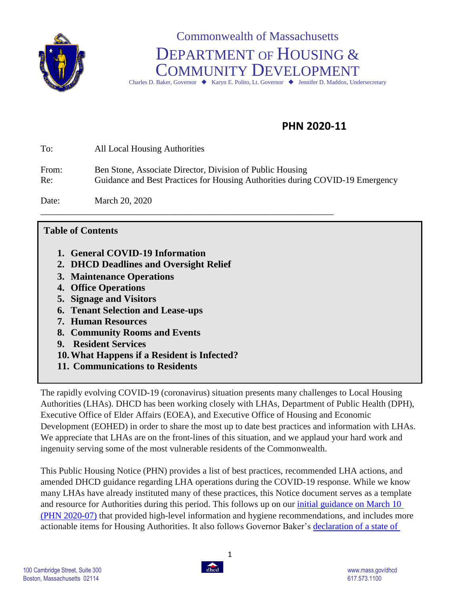

# Commonwealth of Massachusetts DEPARTMENT OF HOUSING & COMMUNITY DEVELOPMENT Charles D. Baker, Governor  $\blacklozenge$  Karyn E. Polito, Lt. Governor  $\blacklozenge$  Jennifer D. Maddox, Undersecretary

## **PHN 2020-11**

| To:          | All Local Housing Authorities                                                                                                              |
|--------------|--------------------------------------------------------------------------------------------------------------------------------------------|
| From:<br>Re: | Ben Stone, Associate Director, Division of Public Housing<br>Guidance and Best Practices for Housing Authorities during COVID-19 Emergency |
| Date:        | March 20, 2020                                                                                                                             |

#### **Table of Contents**

- **1. General COVID-19 Information**
- **2. DHCD Deadlines and Oversight Relief**
- **3. Maintenance Operations**
- **4. Office Operations**
- **5. Signage and Visitors**
- **6. Tenant Selection and Lease-ups**
- **7. Human Resources**
- **8. Community Rooms and Events**
- **9. Resident Services**
- **10.What Happens if a Resident is Infected?**
- **11. Communications to Residents**

The rapidly evolving COVID-19 (coronavirus) situation presents many challenges to Local Housing Authorities (LHAs). DHCD has been working closely with LHAs, Department of Public Health (DPH), Executive Office of Elder Affairs (EOEA), and Executive Office of Housing and Economic Development (EOHED) in order to share the most up to date best practices and information with LHAs. We appreciate that LHAs are on the front-lines of this situation, and we applaud your hard work and ingenuity serving some of the most vulnerable residents of the Commonwealth.

This Public Housing Notice (PHN) provides a list of best practices, recommended LHA actions, and amended DHCD guidance regarding LHA operations during the COVID-19 response. While we know many LHAs have already instituted many of these practices, this Notice document serves as a template and resource for Authorities during this period. This follows up on our [initial guidance on March 10](https://www.mass.gov/doc/2020-07-covid-19-information-memo/download) (PHN 2020-07) that provided high-level information and hygiene recommendations, and includes more actionable items for Housing Authorities. It also follows Governor Baker's [declaration of a state of](https://www.mass.gov/news/governor-baker-declares-state-of-emergency-to-support-commonwealths-response-to-coronavirus) 

1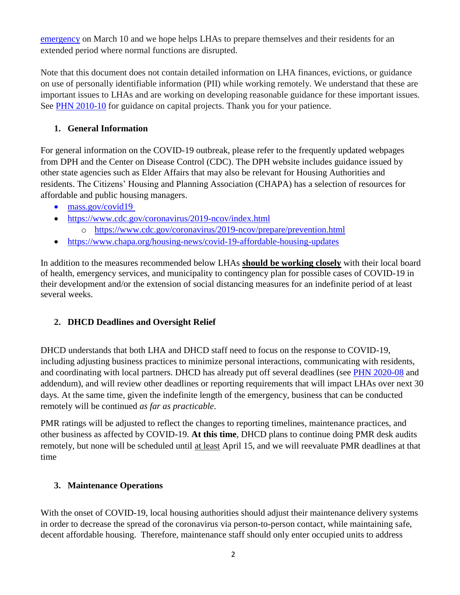[emergency](https://www.mass.gov/news/governor-baker-declares-state-of-emergency-to-support-commonwealths-response-to-coronavirus) on March 10 and we hope helps LHAs to prepare themselves and their residents for an extended period where normal functions are disrupted.

Note that this document does not contain detailed information on LHA finances, evictions, or guidance on use of personally identifiable information (PII) while working remotely. We understand that these are important issues to LHAs and are working on developing reasonable guidance for these important issues. See [PHN 2010-10](https://www.mass.gov/doc/2020-10-capital-projects-during-covid-19/download) for guidance on capital projects. Thank you for your patience.

## **1. General Information**

For general information on the COVID-19 outbreak, please refer to the frequently updated webpages from DPH and the Center on Disease Control (CDC). The DPH website includes guidance issued by other state agencies such as Elder Affairs that may also be relevant for Housing Authorities and residents. The Citizens' Housing and Planning Association (CHAPA) has a selection of resources for affordable and public housing managers.

- [mass.gov/covid19](https://www.mass.gov/2019coronavirus)
- <https://www.cdc.gov/coronavirus/2019-ncov/index.html>
	- o <https://www.cdc.gov/coronavirus/2019-ncov/prepare/prevention.html>
- <https://www.chapa.org/housing-news/covid-19-affordable-housing-updates>

In addition to the measures recommended below LHAs **should be working closely** with their local board of health, emergency services, and municipality to contingency plan for possible cases of COVID-19 in their development and/or the extension of social distancing measures for an indefinite period of at least several weeks.

## **2. DHCD Deadlines and Oversight Relief**

DHCD understands that both LHA and DHCD staff need to focus on the response to COVID-19, including adjusting business practices to minimize personal interactions, communicating with residents, and coordinating with local partners. DHCD has already put off several deadlines (see [PHN 2020-08](https://www.mass.gov/doc/2020-08-dhcd-oversight-during-covid-19-1/download) and addendum), and will review other deadlines or reporting requirements that will impact LHAs over next 30 days. At the same time, given the indefinite length of the emergency, business that can be conducted remotely will be continued *as far as practicable*.

PMR ratings will be adjusted to reflect the changes to reporting timelines, maintenance practices, and other business as affected by COVID-19. **At this time**, DHCD plans to continue doing PMR desk audits remotely, but none will be scheduled until at least April 15, and we will reevaluate PMR deadlines at that time

## **3. Maintenance Operations**

With the onset of COVID-19, local housing authorities should adjust their maintenance delivery systems in order to decrease the spread of the coronavirus via person-to-person contact, while maintaining safe, decent affordable housing. Therefore, maintenance staff should only enter occupied units to address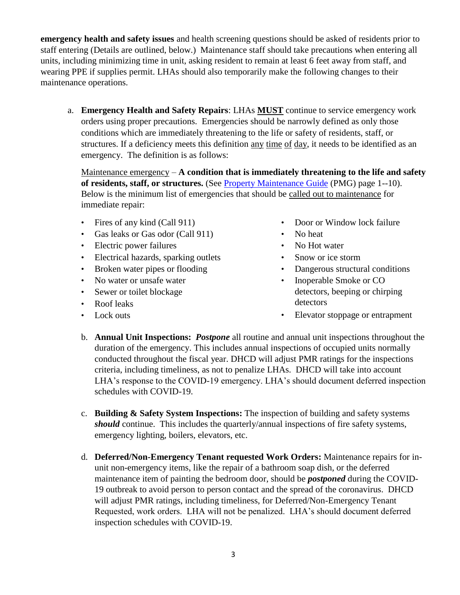**emergency health and safety issues** and health screening questions should be asked of residents prior to staff entering (Details are outlined, below.) Maintenance staff should take precautions when entering all units, including minimizing time in unit, asking resident to remain at least 6 feet away from staff, and wearing PPE if supplies permit. LHAs should also temporarily make the following changes to their maintenance operations.

a. **Emergency Health and Safety Repairs**: LHAs **MUST** continue to service emergency work orders using proper precautions. Emergencies should be narrowly defined as only those conditions which are immediately threatening to the life or safety of residents, staff, or structures. If a deficiency meets this definition any time of day, it needs to be identified as an emergency. The definition is as follows:

Maintenance emergency – **A condition that is immediately threatening to the life and safety of residents, staff, or structures.** (See [Property Maintenance Guide](https://www.mass.gov/files/documents/2018/11/15/PropertyMaintenanceGuide.pdf) (PMG) page 1--10). Below is the minimum list of emergencies that should be called out to maintenance for immediate repair:

- Fires of any kind (Call 911)
- Gas leaks or Gas odor (Call 911)
- Electric power failures
- Electrical hazards, sparking outlets
- Broken water pipes or flooding
- No water or unsafe water
- Sewer or toilet blockage
- Roof leaks
- Lock outs
- Door or Window lock failure
- No heat
	- No Hot water
- Snow or ice storm
- Dangerous structural conditions
- Inoperable Smoke or CO detectors, beeping or chirping detectors
- Elevator stoppage or entrapment
- b. **Annual Unit Inspections:** *Postpone* all routine and annual unit inspections throughout the duration of the emergency. This includes annual inspections of occupied units normally conducted throughout the fiscal year. DHCD will adjust PMR ratings for the inspections criteria, including timeliness, as not to penalize LHAs. DHCD will take into account LHA's response to the COVID-19 emergency. LHA's should document deferred inspection schedules with COVID-19.
- c. **Building & Safety System Inspections:** The inspection of building and safety systems *should* continue. This includes the quarterly/annual inspections of fire safety systems, emergency lighting, boilers, elevators, etc.
- d. **Deferred/Non-Emergency Tenant requested Work Orders:** Maintenance repairs for inunit non-emergency items, like the repair of a bathroom soap dish, or the deferred maintenance item of painting the bedroom door, should be *postponed* during the COVID-19 outbreak to avoid person to person contact and the spread of the coronavirus. DHCD will adjust PMR ratings, including timeliness, for Deferred/Non-Emergency Tenant Requested, work orders. LHA will not be penalized. LHA's should document deferred inspection schedules with COVID-19.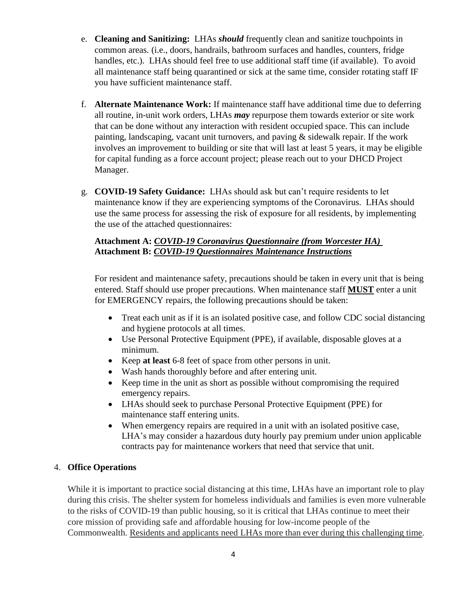- e. **Cleaning and Sanitizing:** LHAs *should* frequently clean and sanitize touchpoints in common areas. (i.e., doors, handrails, bathroom surfaces and handles, counters, fridge handles, etc.). LHAs should feel free to use additional staff time (if available). To avoid all maintenance staff being quarantined or sick at the same time, consider rotating staff IF you have sufficient maintenance staff.
- f. **Alternate Maintenance Work:** If maintenance staff have additional time due to deferring all routine, in-unit work orders, LHAs *may* repurpose them towards exterior or site work that can be done without any interaction with resident occupied space. This can include painting, landscaping, vacant unit turnovers, and paving & sidewalk repair. If the work involves an improvement to building or site that will last at least 5 years, it may be eligible for capital funding as a force account project; please reach out to your DHCD Project Manager.
- g. **COVID-19 Safety Guidance:** LHAs should ask but can't require residents to let maintenance know if they are experiencing symptoms of the Coronavirus. LHAs should use the same process for assessing the risk of exposure for all residents, by implementing the use of the attached questionnaires:

#### **Attachment A:** *COVID-19 Coronavirus Questionnaire (from Worcester HA)*  **Attachment B:** *COVID-19 Questionnaires Maintenance Instructions*

For resident and maintenance safety, precautions should be taken in every unit that is being entered. Staff should use proper precautions. When maintenance staff **MUST** enter a unit for EMERGENCY repairs, the following precautions should be taken:

- Treat each unit as if it is an isolated positive case, and follow CDC social distancing and hygiene protocols at all times.
- Use Personal Protective Equipment (PPE), if available, disposable gloves at a minimum.
- Keep **at least** 6-8 feet of space from other persons in unit.
- Wash hands thoroughly before and after entering unit.
- Keep time in the unit as short as possible without compromising the required emergency repairs.
- LHAs should seek to purchase Personal Protective Equipment (PPE) for maintenance staff entering units.
- When emergency repairs are required in a unit with an isolated positive case, LHA's may consider a hazardous duty hourly pay premium under union applicable contracts pay for maintenance workers that need that service that unit.

#### 4. **Office Operations**

While it is important to practice social distancing at this time, LHAs have an important role to play during this crisis. The shelter system for homeless individuals and families is even more vulnerable to the risks of COVID-19 than public housing, so it is critical that LHAs continue to meet their core mission of providing safe and affordable housing for low-income people of the Commonwealth. Residents and applicants need LHAs more than ever during this challenging time.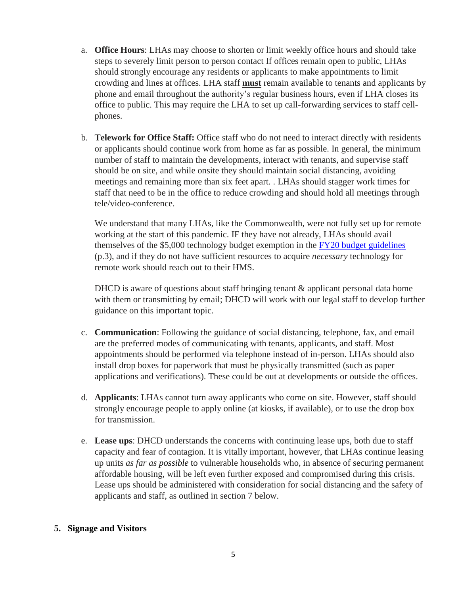- a. **Office Hours**: LHAs may choose to shorten or limit weekly office hours and should take steps to severely limit person to person contact If offices remain open to public, LHAs should strongly encourage any residents or applicants to make appointments to limit crowding and lines at offices. LHA staff **must** remain available to tenants and applicants by phone and email throughout the authority's regular business hours, even if LHA closes its office to public. This may require the LHA to set up call-forwarding services to staff cellphones.
- b. **Telework for Office Staff:** Office staff who do not need to interact directly with residents or applicants should continue work from home as far as possible. In general, the minimum number of staff to maintain the developments, interact with tenants, and supervise staff should be on site, and while onsite they should maintain social distancing, avoiding meetings and remaining more than six feet apart. . LHAs should stagger work times for staff that need to be in the office to reduce crowding and should hold all meetings through tele/video-conference.

We understand that many LHAs, like the Commonwealth, were not fully set up for remote working at the start of this pandemic. IF they have not already, LHAs should avail themselves of the \$5,000 technology budget exemption in the FY20 budget [guidelines](https://www.mass.gov/doc/2019-22-fy2020-budget-guidelines/download) (p.3), and if they do not have sufficient resources to acquire *necessary* technology for remote work should reach out to their HMS.

DHCD is aware of questions about staff bringing tenant & applicant personal data home with them or transmitting by email; DHCD will work with our legal staff to develop further guidance on this important topic.

- c. **Communication**: Following the guidance of social distancing, telephone, fax, and email are the preferred modes of communicating with tenants, applicants, and staff. Most appointments should be performed via telephone instead of in-person. LHAs should also install drop boxes for paperwork that must be physically transmitted (such as paper applications and verifications). These could be out at developments or outside the offices.
- d. **Applicants**: LHAs cannot turn away applicants who come on site. However, staff should strongly encourage people to apply online (at kiosks, if available), or to use the drop box for transmission.
- e. **Lease ups**: DHCD understands the concerns with continuing lease ups, both due to staff capacity and fear of contagion. It is vitally important, however, that LHAs continue leasing up units *as far as possible* to vulnerable households who, in absence of securing permanent affordable housing, will be left even further exposed and compromised during this crisis. Lease ups should be administered with consideration for social distancing and the safety of applicants and staff, as outlined in section 7 below.

#### **5. Signage and Visitors**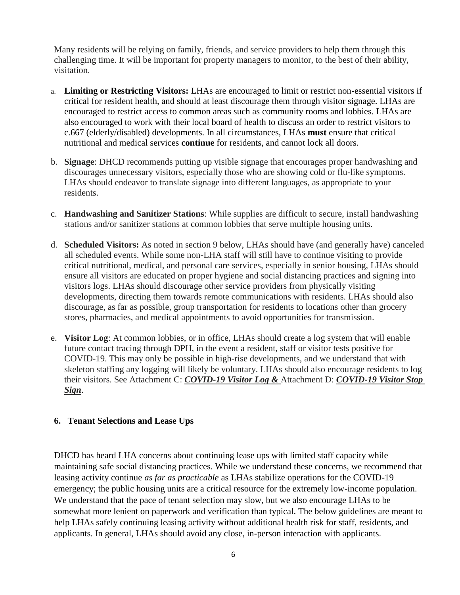Many residents will be relying on family, friends, and service providers to help them through this challenging time. It will be important for property managers to monitor, to the best of their ability, visitation.

- a. **Limiting or Restricting Visitors:** LHAs are encouraged to limit or restrict non-essential visitors if critical for resident health, and should at least discourage them through visitor signage. LHAs are encouraged to restrict access to common areas such as community rooms and lobbies. LHAs are also encouraged to work with their local board of health to discuss an order to restrict visitors to c.667 (elderly/disabled) developments. In all circumstances, LHAs **must** ensure that critical nutritional and medical services **continue** for residents, and cannot lock all doors.
- b. **Signage**: DHCD recommends putting up visible signage that encourages proper handwashing and discourages unnecessary visitors, especially those who are showing cold or flu-like symptoms. LHAs should endeavor to translate signage into different languages, as appropriate to your residents.
- c. **Handwashing and Sanitizer Stations**: While supplies are difficult to secure, install handwashing stations and/or sanitizer stations at common lobbies that serve multiple housing units.
- d. **Scheduled Visitors:** As noted in section 9 below, LHAs should have (and generally have) canceled all scheduled events. While some non-LHA staff will still have to continue visiting to provide critical nutritional, medical, and personal care services, especially in senior housing, LHAs should ensure all visitors are educated on proper hygiene and social distancing practices and signing into visitors logs. LHAs should discourage other service providers from physically visiting developments, directing them towards remote communications with residents. LHAs should also discourage, as far as possible, group transportation for residents to locations other than grocery stores, pharmacies, and medical appointments to avoid opportunities for transmission.
- e. **Visitor Log**: At common lobbies, or in office, LHAs should create a log system that will enable future contact tracing through DPH, in the event a resident, staff or visitor tests positive for COVID-19. This may only be possible in high-rise developments, and we understand that with skeleton staffing any logging will likely be voluntary. LHAs should also encourage residents to log their visitors. See Attachment C: *COVID-19 Visitor Log &* Attachment D: *COVID-19 Visitor Stop Sign*.

#### **6. Tenant Selections and Lease Ups**

DHCD has heard LHA concerns about continuing lease ups with limited staff capacity while maintaining safe social distancing practices. While we understand these concerns, we recommend that leasing activity continue *as far as practicable* as LHAs stabilize operations for the COVID-19 emergency; the public housing units are a critical resource for the extremely low-income population. We understand that the pace of tenant selection may slow, but we also encourage LHAs to be somewhat more lenient on paperwork and verification than typical. The below guidelines are meant to help LHAs safely continuing leasing activity without additional health risk for staff, residents, and applicants. In general, LHAs should avoid any close, in-person interaction with applicants.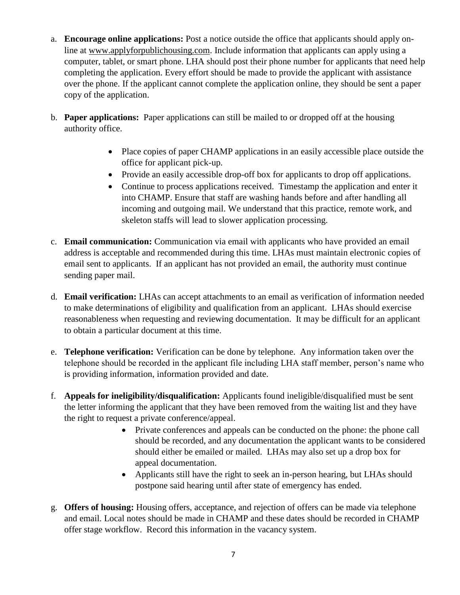- a. **Encourage online applications:** Post a notice outside the office that applicants should apply online at [www.applyforpublichousing.com.](http://www.applyforpublichousing.com/) Include information that applicants can apply using a computer, tablet, or smart phone. LHA should post their phone number for applicants that need help completing the application. Every effort should be made to provide the applicant with assistance over the phone. If the applicant cannot complete the application online, they should be sent a paper copy of the application.
- b. **Paper applications:** Paper applications can still be mailed to or dropped off at the housing authority office.
	- Place copies of paper CHAMP applications in an easily accessible place outside the office for applicant pick-up.
	- Provide an easily accessible drop-off box for applicants to drop off applications.
	- Continue to process applications received. Timestamp the application and enter it into CHAMP. Ensure that staff are washing hands before and after handling all incoming and outgoing mail. We understand that this practice, remote work, and skeleton staffs will lead to slower application processing.
- c. **Email communication:** Communication via email with applicants who have provided an email address is acceptable and recommended during this time. LHAs must maintain electronic copies of email sent to applicants. If an applicant has not provided an email, the authority must continue sending paper mail.
- d. **Email verification:** LHAs can accept attachments to an email as verification of information needed to make determinations of eligibility and qualification from an applicant. LHAs should exercise reasonableness when requesting and reviewing documentation. It may be difficult for an applicant to obtain a particular document at this time.
- e. **Telephone verification:** Verification can be done by telephone. Any information taken over the telephone should be recorded in the applicant file including LHA staff member, person's name who is providing information, information provided and date.
- f. **Appeals for ineligibility/disqualification:** Applicants found ineligible/disqualified must be sent the letter informing the applicant that they have been removed from the waiting list and they have the right to request a private conference/appeal.
	- Private conferences and appeals can be conducted on the phone: the phone call should be recorded, and any documentation the applicant wants to be considered should either be emailed or mailed. LHAs may also set up a drop box for appeal documentation.
	- Applicants still have the right to seek an in-person hearing, but LHAs should postpone said hearing until after state of emergency has ended.
- g. **Offers of housing:** Housing offers, acceptance, and rejection of offers can be made via telephone and email. Local notes should be made in CHAMP and these dates should be recorded in CHAMP offer stage workflow. Record this information in the vacancy system.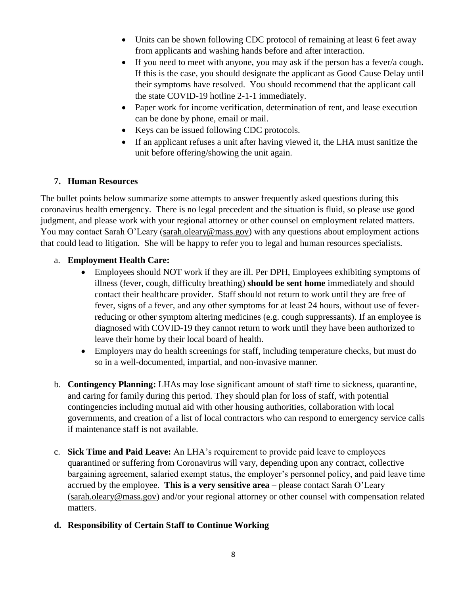- Units can be shown following CDC protocol of remaining at least 6 feet away from applicants and washing hands before and after interaction.
- If you need to meet with anyone, you may ask if the person has a fever/a cough. If this is the case, you should designate the applicant as Good Cause Delay until their symptoms have resolved. You should recommend that the applicant call the state COVID-19 hotline 2-1-1 immediately.
- Paper work for income verification, determination of rent, and lease execution can be done by phone, email or mail.
- Keys can be issued following CDC protocols.
- If an applicant refuses a unit after having viewed it, the LHA must sanitize the unit before offering/showing the unit again.

#### **7. Human Resources**

The bullet points below summarize some attempts to answer frequently asked questions during this coronavirus health emergency. There is no legal precedent and the situation is fluid, so please use good judgment, and please work with your regional attorney or other counsel on employment related matters. You may contact Sarah O'Leary [\(sarah.oleary@mass.gov\)](mailto:sarah.oleary@mass.gov) with any questions about employment actions that could lead to litigation. She will be happy to refer you to legal and human resources specialists.

#### a. **Employment Health Care:**

- Employees should NOT work if they are ill. Per DPH, Employees exhibiting symptoms of illness (fever, cough, difficulty breathing) **should be sent home** immediately and should contact their healthcare provider. Staff should not return to work until they are free of fever, signs of a fever, and any other symptoms for at least 24 hours, without use of feverreducing or other symptom altering medicines (e.g. cough suppressants). If an employee is diagnosed with COVID-19 they cannot return to work until they have been authorized to leave their home by their local board of health.
- Employers may do health screenings for staff, including temperature checks, but must do so in a well-documented, impartial, and non-invasive manner.
- b. **Contingency Planning:** LHAs may lose significant amount of staff time to sickness, quarantine, and caring for family during this period. They should plan for loss of staff, with potential contingencies including mutual aid with other housing authorities, collaboration with local governments, and creation of a list of local contractors who can respond to emergency service calls if maintenance staff is not available.
- c. **Sick Time and Paid Leave:** An LHA's requirement to provide paid leave to employees quarantined or suffering from Coronavirus will vary, depending upon any contract, collective bargaining agreement, salaried exempt status, the employer's personnel policy, and paid leave time accrued by the employee. **This is a very sensitive area** – please contact Sarah O'Leary [\(sarah.oleary@mass.gov\)](mailto:sarah.oleary@mass.gov) and/or your regional attorney or other counsel with compensation related matters.

#### **d. Responsibility of Certain Staff to Continue Working**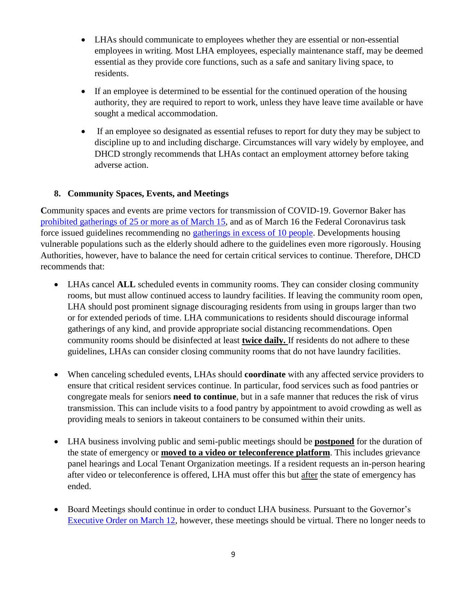- LHAs should communicate to employees whether they are essential or non-essential employees in writing. Most LHA employees, especially maintenance staff, may be deemed essential as they provide core functions, such as a safe and sanitary living space, to residents.
- If an employee is determined to be essential for the continued operation of the housing authority, they are required to report to work, unless they have leave time available or have sought a medical accommodation.
- If an employee so designated as essential refuses to report for duty they may be subject to discipline up to and including discharge. Circumstances will vary widely by employee, and DHCD strongly recommends that LHAs contact an employment attorney before taking adverse action.

#### **8. Community Spaces, Events, and Meetings**

Community spaces and events are prime vectors for transmission of COVID-19. Governor Baker has [prohibited gatherings of 25 or more as of March 15,](https://www.mass.gov/news/baker-polito-administration-announces-emergency-actions-to-address-covid-19) and as of March 16 the Federal Coronavirus task force issued guidelines recommending no [gatherings in excess of 10 people.](https://www.usatoday.com/story/news/health/2020/03/16/coronavirus-live-updates-us-death-toll-rises-cases-testing/5053816002/) Developments housing vulnerable populations such as the elderly should adhere to the guidelines even more rigorously. Housing Authorities, however, have to balance the need for certain critical services to continue. Therefore, DHCD recommends that:

- LHAs cancel **ALL** scheduled events in community rooms. They can consider closing community rooms, but must allow continued access to laundry facilities. If leaving the community room open, LHA should post prominent signage discouraging residents from using in groups larger than two or for extended periods of time. LHA communications to residents should discourage informal gatherings of any kind, and provide appropriate social distancing recommendations. Open community rooms should be disinfected at least **twice daily.** If residents do not adhere to these guidelines, LHAs can consider closing community rooms that do not have laundry facilities.
- When canceling scheduled events, LHAs should **coordinate** with any affected service providers to ensure that critical resident services continue. In particular, food services such as food pantries or congregate meals for seniors **need to continue**, but in a safe manner that reduces the risk of virus transmission. This can include visits to a food pantry by appointment to avoid crowding as well as providing meals to seniors in takeout containers to be consumed within their units.
- LHA business involving public and semi-public meetings should be **postponed** for the duration of the state of emergency or **moved to a video or teleconference platform**. This includes grievance panel hearings and Local Tenant Organization meetings. If a resident requests an in-person hearing after video or teleconference is offered, LHA must offer this but after the state of emergency has ended.
- Board Meetings should continue in order to conduct LHA business. Pursuant to the Governor's [Executive Order on March 12,](https://41g41s33vxdd2vc05w415s1e-wpengine.netdna-ssl.com/wp-content/uploads/2020/03/OpenMtgLaw_ExecOrder_Mar32020.pdf) however, these meetings should be virtual. There no longer needs to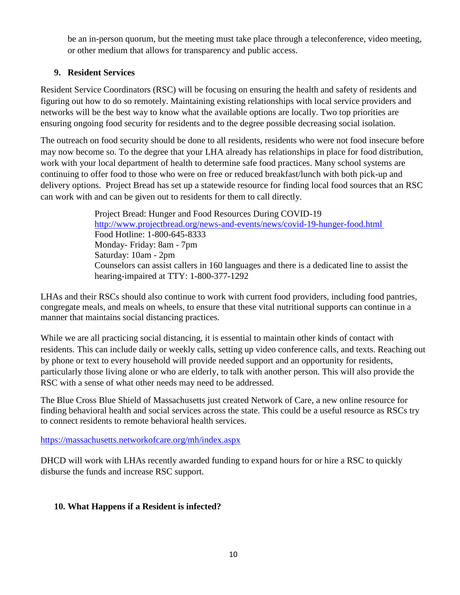be an in-person quorum, but the meeting must take place through a teleconference, video meeting, or other medium that allows for transparency and public access.

### **9. Resident Services**

Resident Service Coordinators (RSC) will be focusing on ensuring the health and safety of residents and figuring out how to do so remotely. Maintaining existing relationships with local service providers and networks will be the best way to know what the available options are locally. Two top priorities are ensuring ongoing food security for residents and to the degree possible decreasing social isolation.

The outreach on food security should be done to all residents, residents who were not food insecure before may now become so. To the degree that your LHA already has relationships in place for food distribution, work with your local department of health to determine safe food practices. Many school systems are continuing to offer food to those who were on free or reduced breakfast/lunch with both pick-up and delivery options. Project Bread has set up a statewide resource for finding local food sources that an RSC can work with and can be given out to residents for them to call directly.

> Project Bread: Hunger and Food Resources During COVID-19 <http://www.projectbread.org/news-and-events/news/covid-19-hunger-food.html> Food Hotline: 1-800-645-8333 Monday- Friday: 8am - 7pm Saturday: 10am - 2pm Counselors can assist callers in 160 languages and there is a dedicated line to assist the hearing-impaired at TTY: 1-800-377-1292

LHAs and their RSCs should also continue to work with current food providers, including food pantries, congregate meals, and meals on wheels, to ensure that these vital nutritional supports can continue in a manner that maintains social distancing practices.

While we are all practicing social distancing, it is essential to maintain other kinds of contact with residents. This can include daily or weekly calls, setting up video conference calls, and texts. Reaching out by phone or text to every household will provide needed support and an opportunity for residents, particularly those living alone or who are elderly, to talk with another person. This will also provide the RSC with a sense of what other needs may need to be addressed.

The Blue Cross Blue Shield of Massachusetts just created Network of Care, a new online resource for finding behavioral health and social services across the state. This could be a useful resource as RSCs try to connect residents to remote behavioral health services.

<https://massachusetts.networkofcare.org/mh/index.aspx>

DHCD will work with LHAs recently awarded funding to expand hours for or hire a RSC to quickly disburse the funds and increase RSC support.

## **10. What Happens if a Resident is infected?**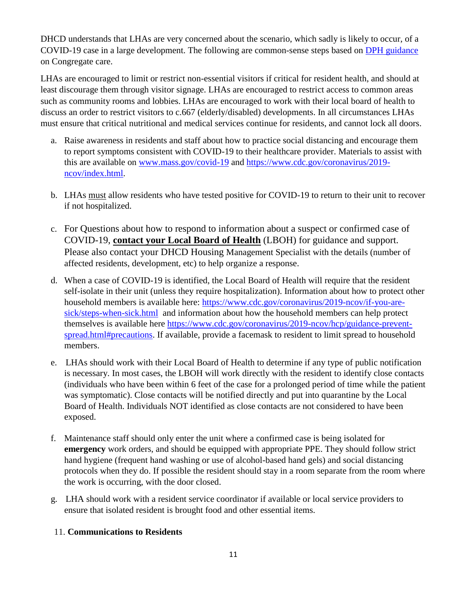DHCD understands that LHAs are very concerned about the scenario, which sadly is likely to occur, of a COVID-19 case in a large development. The following are common-sense steps based on [DPH guidance](https://www.mass.gov/info-details/covid-19-guidance-and-directives#other-guidance-) on Congregate care.

LHAs are encouraged to limit or restrict non-essential visitors if critical for resident health, and should at least discourage them through visitor signage. LHAs are encouraged to restrict access to common areas such as community rooms and lobbies. LHAs are encouraged to work with their local board of health to discuss an order to restrict visitors to c.667 (elderly/disabled) developments. In all circumstances LHAs must ensure that critical nutritional and medical services continue for residents, and cannot lock all doors.

- a. Raise awareness in residents and staff about how to practice social distancing and encourage them to report symptoms consistent with COVID-19 to their healthcare provider. Materials to assist with this are available on [www.mass.gov/covid-19](http://www.mass.gov/covid-19) and [https://www.cdc.gov/coronavirus/2019](https://www.cdc.gov/coronavirus/2019-ncov/index.html) [ncov/index.html.](https://www.cdc.gov/coronavirus/2019-ncov/index.html)
- b. LHAs must allow residents who have tested positive for COVID-19 to return to their unit to recover if not hospitalized.
- c. For Questions about how to respond to information about a suspect or confirmed case of COVID-19, **contact your Local Board of Health** (LBOH) for guidance and support. Please also contact your DHCD Housing Management Specialist with the details (number of affected residents, development, etc) to help organize a response.
- d. When a case of COVID-19 is identified, the Local Board of Health will require that the resident self-isolate in their unit (unless they require hospitalization). Information about how to protect other household members is available here: [https://www.cdc.gov/coronavirus/2019-ncov/if-you-are](https://www.cdc.gov/coronavirus/2019-ncov/if-you-are-sick/steps-when-sick.html)[sick/steps-when-sick.html](https://www.cdc.gov/coronavirus/2019-ncov/if-you-are-sick/steps-when-sick.html) and information about how the household members can help protect themselves is available here [https://www.cdc.gov/coronavirus/2019-ncov/hcp/guidance-prevent](https://www.cdc.gov/coronavirus/2019-ncov/hcp/guidance-prevent-spread.html#precautions)[spread.html#precautions.](https://www.cdc.gov/coronavirus/2019-ncov/hcp/guidance-prevent-spread.html#precautions) If available, provide a facemask to resident to limit spread to household members.
- e. LHAs should work with their Local Board of Health to determine if any type of public notification is necessary. In most cases, the LBOH will work directly with the resident to identify close contacts (individuals who have been within 6 feet of the case for a prolonged period of time while the patient was symptomatic). Close contacts will be notified directly and put into quarantine by the Local Board of Health. Individuals NOT identified as close contacts are not considered to have been exposed.
- f. Maintenance staff should only enter the unit where a confirmed case is being isolated for **emergency** work orders, and should be equipped with appropriate PPE. They should follow strict hand hygiene (frequent hand washing or use of alcohol-based hand gels) and social distancing protocols when they do. If possible the resident should stay in a room separate from the room where the work is occurring, with the door closed.
- g. LHA should work with a resident service coordinator if available or local service providers to ensure that isolated resident is brought food and other essential items.

#### 11. **Communications to Residents**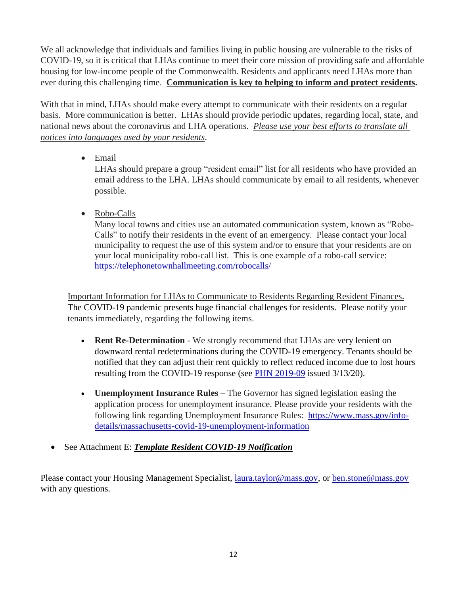We all acknowledge that individuals and families living in public housing are vulnerable to the risks of COVID-19, so it is critical that LHAs continue to meet their core mission of providing safe and affordable housing for low-income people of the Commonwealth. Residents and applicants need LHAs more than ever during this challenging time. **Communication is key to helping to inform and protect residents.** 

With that in mind, LHAs should make every attempt to communicate with their residents on a regular basis. More communication is better. LHAs should provide periodic updates, regarding local, state, and national news about the coronavirus and LHA operations. *Please use your best efforts to translate all notices into languages used by your residents*.

• Email

LHAs should prepare a group "resident email" list for all residents who have provided an email address to the LHA. LHAs should communicate by email to all residents, whenever possible.

• Robo-Calls

Many local towns and cities use an automated communication system, known as "Robo-Calls" to notify their residents in the event of an emergency. Please contact your local municipality to request the use of this system and/or to ensure that your residents are on your local municipality robo-call list. This is one example of a robo-call service: <https://telephonetownhallmeeting.com/robocalls/>

Important Information for LHAs to Communicate to Residents Regarding Resident Finances. The COVID-19 pandemic presents huge financial challenges for residents. Please notify your tenants immediately, regarding the following items.

- **Rent Re-Determination** We strongly recommend that LHAs are very lenient on downward rental redeterminations during the COVID-19 emergency. Tenants should be notified that they can adjust their rent quickly to reflect reduced income due to lost hours resulting from the COVID-19 response (see [PHN 2019-09](https://www.mass.gov/doc/2020-09-interim-redeterminations/download) issued 3/13/20).
- **Unemployment Insurance Rules** The Governor has signed legislation easing the application process for unemployment insurance. Please provide your residents with the following link regarding Unemployment Insurance Rules: [https://www.mass.gov/info](https://www.mass.gov/info-details/massachusetts-covid-19-unemployment-information)[details/massachusetts-covid-19-unemployment-information](https://www.mass.gov/info-details/massachusetts-covid-19-unemployment-information)
- See Attachment E: *Template Resident COVID-19 Notification*

Please contact your Housing Management Specialist, <u>laura.taylor@mass.gov</u>, or <u>ben.stone@mass.gov</u> with any questions.